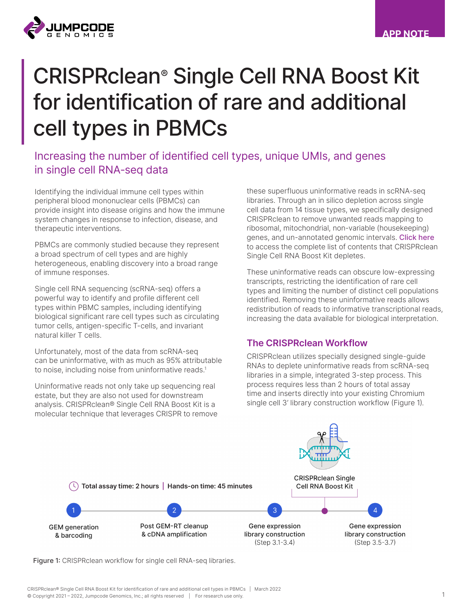

# CRISPRclean® Single Cell RNA Boost Kit for identification of rare and additional cell types in PBMCs

## Increasing the number of identified cell types, unique UMIs, and genes in single cell RNA-seq data

Identifying the individual immune cell types within peripheral blood mononuclear cells (PBMCs) can provide insight into disease origins and how the immune system changes in response to infection, disease, and therapeutic interventions.

PBMCs are commonly studied because they represent a broad spectrum of cell types and are highly heterogeneous, enabling discovery into a broad range of immune responses.

Single cell RNA sequencing (scRNA-seq) offers a powerful way to identify and profile different cell types within PBMC samples, including identifying biological significant rare cell types such as circulating tumor cells, antigen-specific T-cells, and invariant natural killer T cells.

Unfortunately, most of the data from scRNA-seq can be uninformative, with as much as 95% attributable to noise, including noise from uninformative reads.<sup>1</sup>

Uninformative reads not only take up sequencing real estate, but they are also not used for downstream analysis. CRISPRclean® Single Cell RNA Boost Kit is a molecular technique that leverages CRISPR to remove

these superfluous uninformative reads in scRNA-seq libraries. Through an in silico depletion across single cell data from 14 tissue types, we specifically designed CRISPRclean to remove unwanted reads mapping to ribosomal, mitochondrial, non-variable (housekeeping) genes, and un-annotated genomic intervals. [Click](https://www.jumpcodegenomics.com/products/single-cell-rna-boost/) here to access the complete list of contents that CRISPRclean Single Cell RNA Boost Kit depletes.

These uninformative reads can obscure low-expressing transcripts, restricting the identification of rare cell types and limiting the number of distinct cell populations identified. Removing these uninformative reads allows redistribution of reads to informative transcriptional reads, increasing the data available for biological interpretation.

## The CRISPRclean Workflow

CRISPRclean utilizes specially designed single-guide RNAs to deplete uninformative reads from scRNA-seq libraries in a simple, integrated 3-step process. This process requires less than 2 hours of total assay time and inserts directly into your existing Chromium single cell 3' library construction workflow (Figure 1).



Figure 1: CRISPRclean workflow for single cell RNA-seq libraries.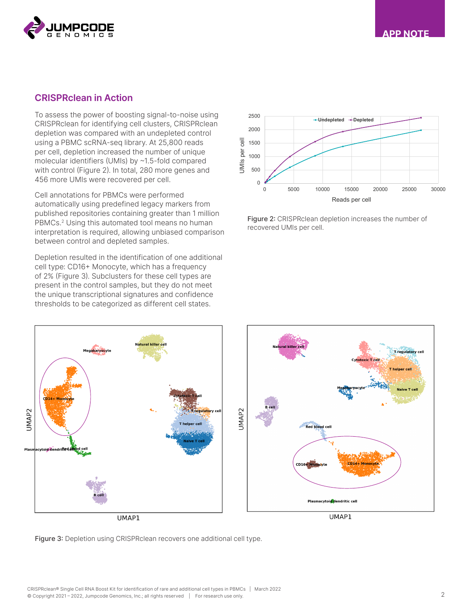



### CRISPRclean in Action

To assess the power of boosting signal-to-noise using CRISPRclean for identifying cell clusters, CRISPRclean depletion was compared with an undepleted control using a PBMC scRNA-seq library. At 25,800 reads per cell, depletion increased the number of unique molecular identifiers (UMIs) by ~1.5-fold compared with control (Figure 2). In total, 280 more genes and 456 more UMIs were recovered per cell.

Cell annotations for PBMCs were performed automatically using predefined legacy markers from published repositories containing greater than 1 million PBMCs.<sup>2</sup> Using this automated tool means no human interpretation is required, allowing unbiased comparison between control and depleted samples.

Depletion resulted in the identification of one additional cell type: CD16+ Monocyte, which has a frequency of 2% (Figure 3). Subclusters for these cell types are present in the control samples, but they do not meet the unique transcriptional signatures and confidence thresholds to be categorized as different cell states.



Figure 2: CRISPRclean depletion increases the number of recovered UMIs per cell.



Figure 3: Depletion using CRISPRclean recovers one additional cell type.